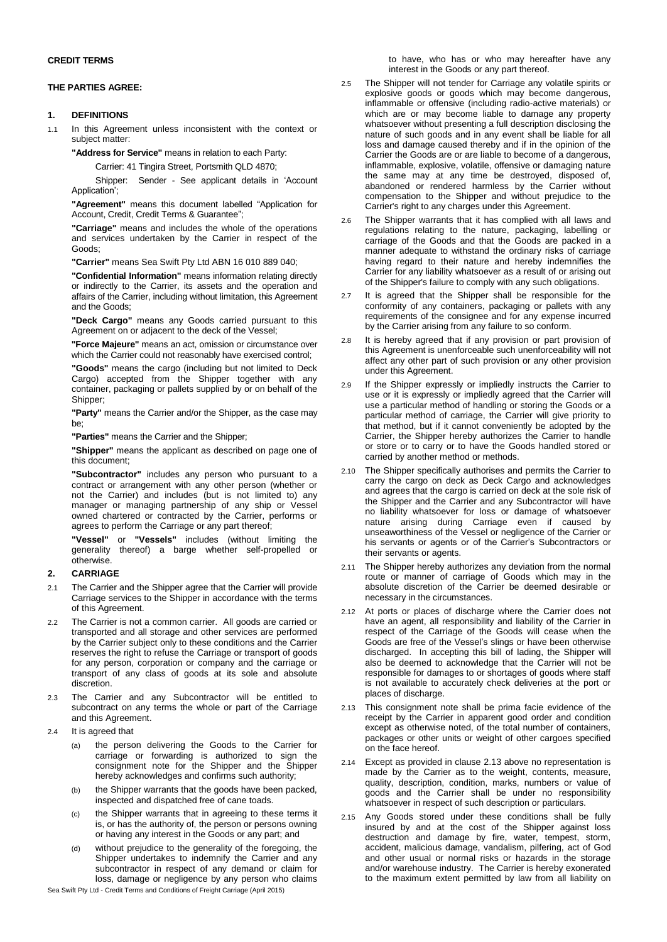### **CREDIT TERMS**

### **THE PARTIES AGREE:**

# **1. DEFINITIONS**

1.1 In this Agreement unless inconsistent with the context or subject matter:

**"Address for Service"** means in relation to each Party:

Carrier: 41 Tingira Street, Portsmith QLD 4870;

Shipper: Sender - See applicant details in 'Account Application';

**"Agreement"** means this document labelled "Application for Account, Credit, Credit Terms & Guarantee";

**"Carriage"** means and includes the whole of the operations and services undertaken by the Carrier in respect of the Goods;

**"Carrier"** means Sea Swift Pty Ltd ABN 16 010 889 040;

**"Confidential Information"** means information relating directly or indirectly to the Carrier, its assets and the operation and affairs of the Carrier, including without limitation, this Agreement and the Goods;

**"Deck Cargo"** means any Goods carried pursuant to this Agreement on or adjacent to the deck of the Vessel;

**"Force Majeure"** means an act, omission or circumstance over which the Carrier could not reasonably have exercised control;

**"Goods"** means the cargo (including but not limited to Deck Cargo) accepted from the Shipper together with any container, packaging or pallets supplied by or on behalf of the Shipper;

**"Party"** means the Carrier and/or the Shipper, as the case may be;

**"Parties"** means the Carrier and the Shipper;

**"Shipper"** means the applicant as described on page one of this document;

**"Subcontractor"** includes any person who pursuant to a contract or arrangement with any other person (whether or not the Carrier) and includes (but is not limited to) any manager or managing partnership of any ship or Vessel owned chartered or contracted by the Carrier, performs or agrees to perform the Carriage or any part thereof;

**"Vessel"** or **"Vessels"** includes (without limiting the generality thereof) a barge whether self-propelled or otherwise.

## **2. CARRIAGE**

- 2.1 The Carrier and the Shipper agree that the Carrier will provide Carriage services to the Shipper in accordance with the terms of this Agreement.
- 2.2 The Carrier is not a common carrier. All goods are carried or transported and all storage and other services are performed by the Carrier subject only to these conditions and the Carrier reserves the right to refuse the Carriage or transport of goods for any person, corporation or company and the carriage or transport of any class of goods at its sole and absolute discretion.
- 2.3 The Carrier and any Subcontractor will be entitled to subcontract on any terms the whole or part of the Carriage and this Agreement.
- 2.4 It is agreed that
	- (a) the person delivering the Goods to the Carrier for carriage or forwarding is authorized to sign the consignment note for the Shipper and the Shipper hereby acknowledges and confirms such authority;
	- (b) the Shipper warrants that the goods have been packed, inspected and dispatched free of cane toads.
	- (c) the Shipper warrants that in agreeing to these terms it is, or has the authority of, the person or persons owning or having any interest in the Goods or any part; and
	- (d) without prejudice to the generality of the foregoing, the Shipper undertakes to indemnify the Carrier and any subcontractor in respect of any demand or claim for loss, damage or negligence by any person who claims

Sea Swift Pty Ltd - Credit Terms and Conditions of Freight Carriage (April 2015)

to have, who has or who may hereafter have any interest in the Goods or any part thereof.

- 2.5 The Shipper will not tender for Carriage any volatile spirits or explosive goods or goods which may become dangerous, inflammable or offensive (including radio-active materials) or which are or may become liable to damage any property whatsoever without presenting a full description disclosing the nature of such goods and in any event shall be liable for all loss and damage caused thereby and if in the opinion of the Carrier the Goods are or are liable to become of a dangerous, inflammable, explosive, volatile, offensive or damaging nature the same may at any time be destroyed, disposed of, abandoned or rendered harmless by the Carrier without compensation to the Shipper and without prejudice to the Carrier's right to any charges under this Agreement.
- 2.6 The Shipper warrants that it has complied with all laws and regulations relating to the nature, packaging, labelling or carriage of the Goods and that the Goods are packed in a manner adequate to withstand the ordinary risks of carriage having regard to their nature and hereby indemnifies the Carrier for any liability whatsoever as a result of or arising out of the Shipper's failure to comply with any such obligations.
- 2.7 It is agreed that the Shipper shall be responsible for the conformity of any containers, packaging or pallets with any requirements of the consignee and for any expense incurred by the Carrier arising from any failure to so conform.
- 2.8 It is hereby agreed that if any provision or part provision of this Agreement is unenforceable such unenforceability will not affect any other part of such provision or any other provision under this Agreement.
- 2.9 If the Shipper expressly or impliedly instructs the Carrier to use or it is expressly or impliedly agreed that the Carrier will use a particular method of handling or storing the Goods or a particular method of carriage, the Carrier will give priority to that method, but if it cannot conveniently be adopted by the Carrier, the Shipper hereby authorizes the Carrier to handle or store or to carry or to have the Goods handled stored or carried by another method or methods.
- 2.10 The Shipper specifically authorises and permits the Carrier to carry the cargo on deck as Deck Cargo and acknowledges and agrees that the cargo is carried on deck at the sole risk of the Shipper and the Carrier and any Subcontractor will have no liability whatsoever for loss or damage of whatsoever nature arising during Carriage even if caused by unseaworthiness of the Vessel or negligence of the Carrier or his servants or agents or of the Carrier's Subcontractors or their servants or agents.
- 2.11 The Shipper hereby authorizes any deviation from the normal route or manner of carriage of Goods which may in the absolute discretion of the Carrier be deemed desirable or necessary in the circumstances.
- 2.12 At ports or places of discharge where the Carrier does not have an agent, all responsibility and liability of the Carrier in respect of the Carriage of the Goods will cease when the Goods are free of the Vessel's slings or have been otherwise discharged. In accepting this bill of lading, the Shipper will also be deemed to acknowledge that the Carrier will not be responsible for damages to or shortages of goods where staff is not available to accurately check deliveries at the port or places of discharge.
- <span id="page-0-0"></span>2.13 This consignment note shall be prima facie evidence of the receipt by the Carrier in apparent good order and condition except as otherwise noted, of the total number of containers, packages or other units or weight of other cargoes specified on the face hereof.
- 2.14 Except as provided in clause [2.13](#page-0-0) above no representation is made by the Carrier as to the weight, contents, measure, quality, description, condition, marks, numbers or value of goods and the Carrier shall be under no responsibility whatsoever in respect of such description or particulars.
- 2.15 Any Goods stored under these conditions shall be fully insured by and at the cost of the Shipper against loss destruction and damage by fire, water, tempest, storm, accident, malicious damage, vandalism, pilfering, act of God and other usual or normal risks or hazards in the storage and/or warehouse industry. The Carrier is hereby exonerated to the maximum extent permitted by law from all liability on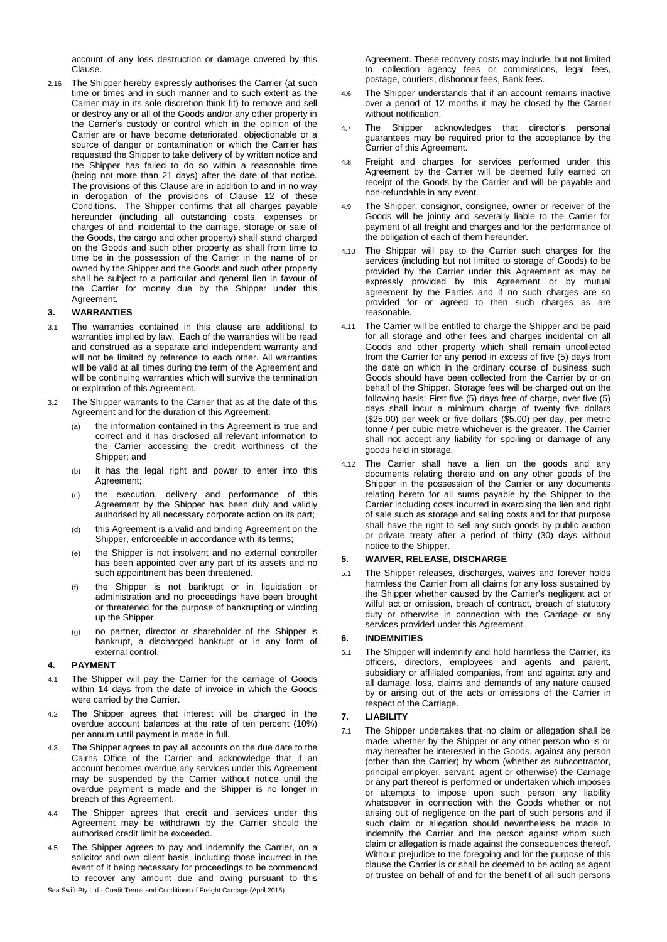account of any loss destruction or damage covered by this Clause.

2.16 The Shipper hereby expressly authorises the Carrier (at such time or times and in such manner and to such extent as the Carrier may in its sole discretion think fit) to remove and sell or destroy any or all of the Goods and/or any other property in the Carrier's custody or control which in the opinion of the Carrier are or have become deteriorated, objectionable or a source of danger or contamination or which the Carrier has requested the Shipper to take delivery of by written notice and the Shipper has failed to do so within a reasonable time (being not more than 21 days) after the date of that notice. The provisions of this Clause are in addition to and in no way in derogation of the provisions of Clause 12 of these Conditions. The Shipper confirms that all charges payable hereunder (including all outstanding costs, expenses or charges of and incidental to the carriage, storage or sale of the Goods, the cargo and other property) shall stand charged on the Goods and such other property as shall from time to time be in the possession of the Carrier in the name of or owned by the Shipper and the Goods and such other property shall be subject to a particular and general lien in favour of the Carrier for money due by the Shipper under this Agreement.

### **3. WARRANTIES**

- 3.1 The warranties contained in this clause are additional to warranties implied by law. Each of the warranties will be read and construed as a separate and independent warranty and will not be limited by reference to each other. All warranties will be valid at all times during the term of the Agreement and will be continuing warranties which will survive the termination or expiration of this Agreement.
- 3.2 The Shipper warrants to the Carrier that as at the date of this Agreement and for the duration of this Agreement:
	- (a) the information contained in this Agreement is true and correct and it has disclosed all relevant information to the Carrier accessing the credit worthiness of the Shipper; and
	- (b) it has the legal right and power to enter into this Agreement;
	- (c) the execution, delivery and performance of this Agreement by the Shipper has been duly and validly authorised by all necessary corporate action on its part;
	- (d) this Agreement is a valid and binding Agreement on the Shipper, enforceable in accordance with its terms;
	- (e) the Shipper is not insolvent and no external controller has been appointed over any part of its assets and no such appointment has been threatened.
	- (f) the Shipper is not bankrupt or in liquidation or administration and no proceedings have been brought or threatened for the purpose of bankrupting or winding up the Shipper.
	- (g) no partner, director or shareholder of the Shipper is bankrupt, a discharged bankrupt or in any form of external control.

### **4. PAYMENT**

- 4.1 The Shipper will pay the Carrier for the carriage of Goods within 14 days from the date of invoice in which the Goods were carried by the Carrier.
- 4.2 The Shipper agrees that interest will be charged in the overdue account balances at the rate of ten percent (10%) per annum until payment is made in full.
- 4.3 The Shipper agrees to pay all accounts on the due date to the Cairns Office of the Carrier and acknowledge that if an account becomes overdue any services under this Agreement may be suspended by the Carrier without notice until the overdue payment is made and the Shipper is no longer in breach of this Agreement.
- 4.4 The Shipper agrees that credit and services under this Agreement may be withdrawn by the Carrier should the authorised credit limit be exceeded.
- 4.5 The Shipper agrees to pay and indemnify the Carrier, on a solicitor and own client basis, including those incurred in the event of it being necessary for proceedings to be commenced to recover any amount due and owing pursuant to this

Agreement. These recovery costs may include, but not limited to, collection agency fees or commissions, legal fees, postage, couriers, dishonour fees, Bank fees.

- 4.6 The Shipper understands that if an account remains inactive over a period of 12 months it may be closed by the Carrier without notification.
- 4.7 The Shipper acknowledges that director's personal guarantees may be required prior to the acceptance by the Carrier of this Agreement.
- 4.8 Freight and charges for services performed under this Agreement by the Carrier will be deemed fully earned on receipt of the Goods by the Carrier and will be payable and non-refundable in any event.
- The Shipper, consignor, consignee, owner or receiver of the Goods will be jointly and severally liable to the Carrier for payment of all freight and charges and for the performance of the obligation of each of them hereunder.
- 4.10 The Shipper will pay to the Carrier such charges for the services (including but not limited to storage of Goods) to be provided by the Carrier under this Agreement as may be expressly provided by this Agreement or by mutual agreement by the Parties and if no such charges are so provided for or agreed to then such charges as are reasonable.
- 4.11 The Carrier will be entitled to charge the Shipper and be paid for all storage and other fees and charges incidental on all Goods and other property which shall remain uncollected from the Carrier for any period in excess of five (5) days from the date on which in the ordinary course of business such Goods should have been collected from the Carrier by or on behalf of the Shipper. Storage fees will be charged out on the following basis: First five (5) days free of charge, over five (5) days shall incur a minimum charge of twenty five dollars (\$25.00) per week or five dollars (\$5.00) per day, per metric tonne / per cubic metre whichever is the greater. The Carrier shall not accept any liability for spoiling or damage of any goods held in storage.
- 4.12 The Carrier shall have a lien on the goods and any documents relating thereto and on any other goods of the Shipper in the possession of the Carrier or any documents relating hereto for all sums payable by the Shipper to the Carrier including costs incurred in exercising the lien and right of sale such as storage and selling costs and for that purpose shall have the right to sell any such goods by public auction or private treaty after a period of thirty (30) days without notice to the Shipper.

#### **5. WAIVER, RELEASE, DISCHARGE**

5.1 The Shipper releases, discharges, waives and forever holds harmless the Carrier from all claims for any loss sustained by the Shipper whether caused by the Carrier's negligent act or wilful act or omission, breach of contract, breach of statutory duty or otherwise in connection with the Carriage or any services provided under this Agreement.

#### **6. INDEMNITIES**

6.1 The Shipper will indemnify and hold harmless the Carrier, its officers, directors, employees and agents and parent, subsidiary or affiliated companies, from and against any and all damage, loss, claims and demands of any nature caused by or arising out of the acts or omissions of the Carrier in respect of the Carriage.

## **7. LIABILITY**

7.1 The Shipper undertakes that no claim or allegation shall be made, whether by the Shipper or any other person who is or may hereafter be interested in the Goods, against any person (other than the Carrier) by whom (whether as subcontractor, principal employer, servant, agent or otherwise) the Carriage or any part thereof is performed or undertaken which imposes or attempts to impose upon such person any liability whatsoever in connection with the Goods whether or not arising out of negligence on the part of such persons and if such claim or allegation should nevertheless be made to indemnify the Carrier and the person against whom such claim or allegation is made against the consequences thereof. Without prejudice to the foregoing and for the purpose of this clause the Carrier is or shall be deemed to be acting as agent or trustee on behalf of and for the benefit of all such persons

Sea Swift Pty Ltd - Credit Terms and Conditions of Freight Carriage (April 2015)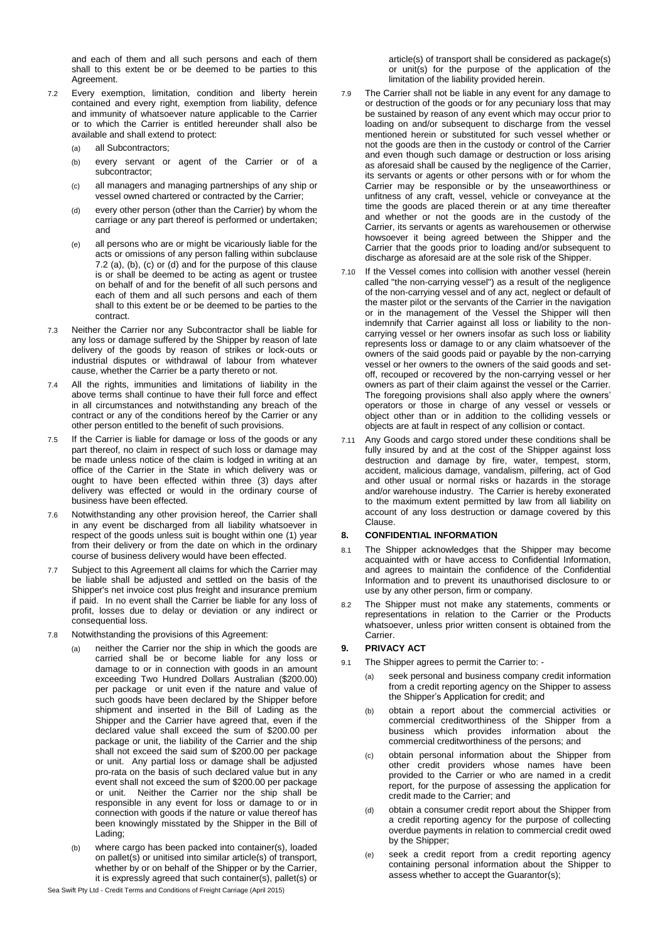and each of them and all such persons and each of them shall to this extent be or be deemed to be parties to this Agreement.

- 7.2 Every exemption, limitation, condition and liberty herein contained and every right, exemption from liability, defence and immunity of whatsoever nature applicable to the Carrier or to which the Carrier is entitled hereunder shall also be available and shall extend to protect:
	- (a) all Subcontractors;
	- (b) every servant or agent of the Carrier or of a subcontractor;
	- (c) all managers and managing partnerships of any ship or vessel owned chartered or contracted by the Carrier;
	- (d) every other person (other than the Carrier) by whom the carriage or any part thereof is performed or undertaken; and
	- (e) all persons who are or might be vicariously liable for the acts or omissions of any person falling within subclause 7.2 (a), (b), (c) or (d) and for the purpose of this clause is or shall be deemed to be acting as agent or trustee on behalf of and for the benefit of all such persons and each of them and all such persons and each of them shall to this extent be or be deemed to be parties to the contract.
- 7.3 Neither the Carrier nor any Subcontractor shall be liable for any loss or damage suffered by the Shipper by reason of late delivery of the goods by reason of strikes or lock-outs or industrial disputes or withdrawal of labour from whatever cause, whether the Carrier be a party thereto or not.
- 7.4 All the rights, immunities and limitations of liability in the above terms shall continue to have their full force and effect in all circumstances and notwithstanding any breach of the contract or any of the conditions hereof by the Carrier or any other person entitled to the benefit of such provisions.
- 7.5 If the Carrier is liable for damage or loss of the goods or any part thereof, no claim in respect of such loss or damage may be made unless notice of the claim is lodged in writing at an office of the Carrier in the State in which delivery was or ought to have been effected within three (3) days after delivery was effected or would in the ordinary course of business have been effected.
- 7.6 Notwithstanding any other provision hereof, the Carrier shall in any event be discharged from all liability whatsoever in respect of the goods unless suit is bought within one (1) year from their delivery or from the date on which in the ordinary course of business delivery would have been effected.
- 7.7 Subject to this Agreement all claims for which the Carrier may be liable shall be adjusted and settled on the basis of the Shipper's net invoice cost plus freight and insurance premium if paid. In no event shall the Carrier be liable for any loss of profit, losses due to delay or deviation or any indirect or consequential loss.
- 7.8 Notwithstanding the provisions of this Agreement:
	- neither the Carrier nor the ship in which the goods are carried shall be or become liable for any loss or damage to or in connection with goods in an amount exceeding Two Hundred Dollars Australian (\$200.00) per package or unit even if the nature and value of such goods have been declared by the Shipper before shipment and inserted in the Bill of Lading as the Shipper and the Carrier have agreed that, even if the declared value shall exceed the sum of \$200.00 per package or unit, the liability of the Carrier and the ship shall not exceed the said sum of \$200.00 per package or unit. Any partial loss or damage shall be adjusted pro-rata on the basis of such declared value but in any event shall not exceed the sum of \$200.00 per package or unit. Neither the Carrier nor the ship shall be responsible in any event for loss or damage to or in connection with goods if the nature or value thereof has been knowingly misstated by the Shipper in the Bill of Lading;
	- (b) where cargo has been packed into container(s), loaded on pallet(s) or unitised into similar article(s) of transport, whether by or on behalf of the Shipper or by the Carrier, it is expressly agreed that such container(s), pallet(s) or

article(s) of transport shall be considered as package(s) or unit(s) for the purpose of the application of the limitation of the liability provided herein.

- 7.9 The Carrier shall not be liable in any event for any damage to or destruction of the goods or for any pecuniary loss that may be sustained by reason of any event which may occur prior to loading on and/or subsequent to discharge from the vessel mentioned herein or substituted for such vessel whether or not the goods are then in the custody or control of the Carrier and even though such damage or destruction or loss arising as aforesaid shall be caused by the negligence of the Carrier, its servants or agents or other persons with or for whom the Carrier may be responsible or by the unseaworthiness or unfitness of any craft, vessel, vehicle or conveyance at the time the goods are placed therein or at any time thereafter and whether or not the goods are in the custody of the Carrier, its servants or agents as warehousemen or otherwise howsoever it being agreed between the Shipper and the Carrier that the goods prior to loading and/or subsequent to discharge as aforesaid are at the sole risk of the Shipper.
- 7.10 If the Vessel comes into collision with another vessel (herein called "the non-carrying vessel") as a result of the negligence of the non-carrying vessel and of any act, neglect or default of the master pilot or the servants of the Carrier in the navigation or in the management of the Vessel the Shipper will then indemnify that Carrier against all loss or liability to the noncarrying vessel or her owners insofar as such loss or liability represents loss or damage to or any claim whatsoever of the owners of the said goods paid or payable by the non-carrying vessel or her owners to the owners of the said goods and setoff, recouped or recovered by the non-carrying vessel or her owners as part of their claim against the vessel or the Carrier. The foregoing provisions shall also apply where the owners' operators or those in charge of any vessel or vessels or object other than or in addition to the colliding vessels or objects are at fault in respect of any collision or contact.
- 7.11 Any Goods and cargo stored under these conditions shall be fully insured by and at the cost of the Shipper against loss destruction and damage by fire, water, tempest, storm, accident, malicious damage, vandalism, pilfering, act of God and other usual or normal risks or hazards in the storage and/or warehouse industry. The Carrier is hereby exonerated to the maximum extent permitted by law from all liability on account of any loss destruction or damage covered by this Clause.

### **8. CONFIDENTIAL INFORMATION**

- 8.1 The Shipper acknowledges that the Shipper may become acquainted with or have access to Confidential Information, and agrees to maintain the confidence of the Confidential Information and to prevent its unauthorised disclosure to or use by any other person, firm or company.
- 8.2 The Shipper must not make any statements, comments or representations in relation to the Carrier or the Products whatsoever, unless prior written consent is obtained from the Carrier.

### **9. PRIVACY ACT**

- 9.1 The Shipper agrees to permit the Carrier to:
	- (a) seek personal and business company credit information from a credit reporting agency on the Shipper to assess the Shipper's Application for credit; and
	- (b) obtain a report about the commercial activities or commercial creditworthiness of the Shipper from a business which provides information about the commercial creditworthiness of the persons; and
	- (c) obtain personal information about the Shipper from other credit providers whose names have been provided to the Carrier or who are named in a credit report, for the purpose of assessing the application for credit made to the Carrier; and
	- (d) obtain a consumer credit report about the Shipper from a credit reporting agency for the purpose of collecting overdue payments in relation to commercial credit owed by the Shipper;
	- (e) seek a credit report from a credit reporting agency containing personal information about the Shipper to assess whether to accept the Guarantor(s);

Sea Swift Pty Ltd - Credit Terms and Conditions of Freight Carriage (April 2015)